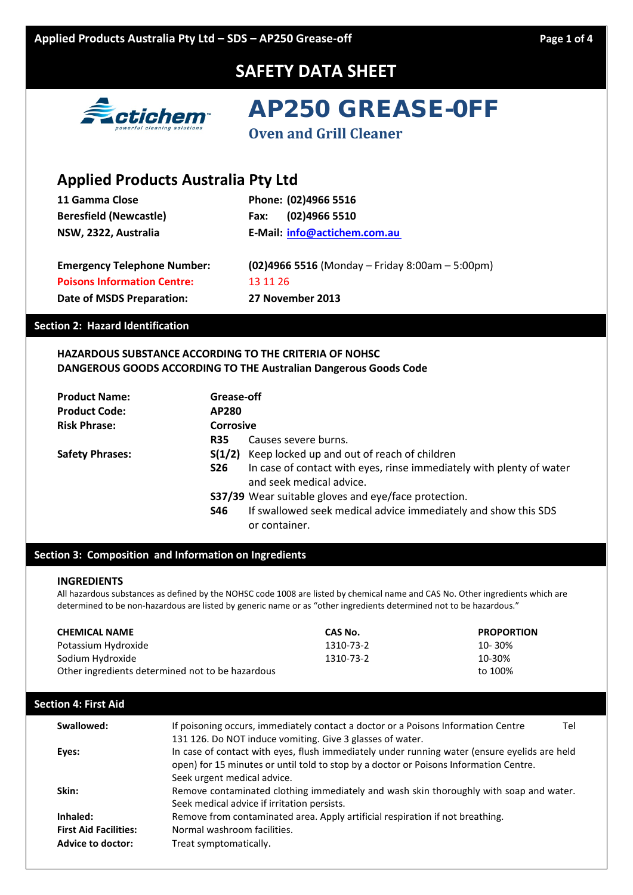

AP250 GREASE-0FF

| <b>Applied Products Australia Pty Ltd</b> |                                                  |
|-------------------------------------------|--------------------------------------------------|
| 11 Gamma Close                            | Phone: (02)4966 5516                             |
| <b>Beresfield (Newcastle)</b>             | (02)4966 5510<br>Fax:                            |
| NSW, 2322, Australia                      | E-Mail: info@actichem.com.au                     |
| <b>Emergency Telephone Number:</b>        | $(02)49665516$ (Monday – Friday 8:00am – 5:00pm) |
| <b>Poisons Information Centre:</b>        | 13 11 26                                         |
| Date of MSDS Preparation:                 | 27 November 2013                                 |

### **HAZARDOUS SUBSTANCE ACCORDING TO THE CRITERIA OF NOHSC DANGEROUS GOODS ACCORDING TO THE Australian Dangerous Goods Code**

| <b>Product Name:</b>   | Grease-off |                                                                                                  |
|------------------------|------------|--------------------------------------------------------------------------------------------------|
| <b>Product Code:</b>   | AP280      |                                                                                                  |
| <b>Risk Phrase:</b>    | Corrosive  |                                                                                                  |
|                        | <b>R35</b> | Causes severe burns.                                                                             |
| <b>Safety Phrases:</b> | S(1/2)     | Keep locked up and out of reach of children                                                      |
|                        | <b>S26</b> | In case of contact with eyes, rinse immediately with plenty of water<br>and seek medical advice. |
|                        |            | S37/39 Wear suitable gloves and eye/face protection.                                             |
|                        | S46        | If swallowed seek medical advice immediately and show this SDS<br>or container.                  |

### **Section 3: Composition and Information on Ingredients**

#### **INGREDIENTS**

All hazardous substances as defined by the NOHSC code 1008 are listed by chemical name and CAS No. Other ingredients which are determined to be non-hazardous are listed by generic name or as "other ingredients determined not to be hazardous."

| <b>CHEMICAL NAME</b>                             | CAS No.   | <b>PROPORTION</b> |
|--------------------------------------------------|-----------|-------------------|
| Potassium Hydroxide                              | 1310-73-2 | 10-30%            |
| Sodium Hydroxide                                 | 1310-73-2 | 10-30%            |
| Other ingredients determined not to be hazardous |           | to 100%           |

### **Section 4: First Aid**

| Swallowed:                   | If poisoning occurs, immediately contact a doctor or a Poisons Information Centre<br>Tel<br>131 126. Do NOT induce vomiting. Give 3 glasses of water.                                                                |
|------------------------------|----------------------------------------------------------------------------------------------------------------------------------------------------------------------------------------------------------------------|
| Eyes:                        | In case of contact with eyes, flush immediately under running water (ensure eyelids are held<br>open) for 15 minutes or until told to stop by a doctor or Poisons Information Centre.<br>Seek urgent medical advice. |
| Skin:                        | Remove contaminated clothing immediately and wash skin thoroughly with soap and water.<br>Seek medical advice if irritation persists.                                                                                |
| Inhaled:                     | Remove from contaminated area. Apply artificial respiration if not breathing.                                                                                                                                        |
| <b>First Aid Facilities:</b> | Normal washroom facilities.                                                                                                                                                                                          |
| Advice to doctor:            | Treat symptomatically.                                                                                                                                                                                               |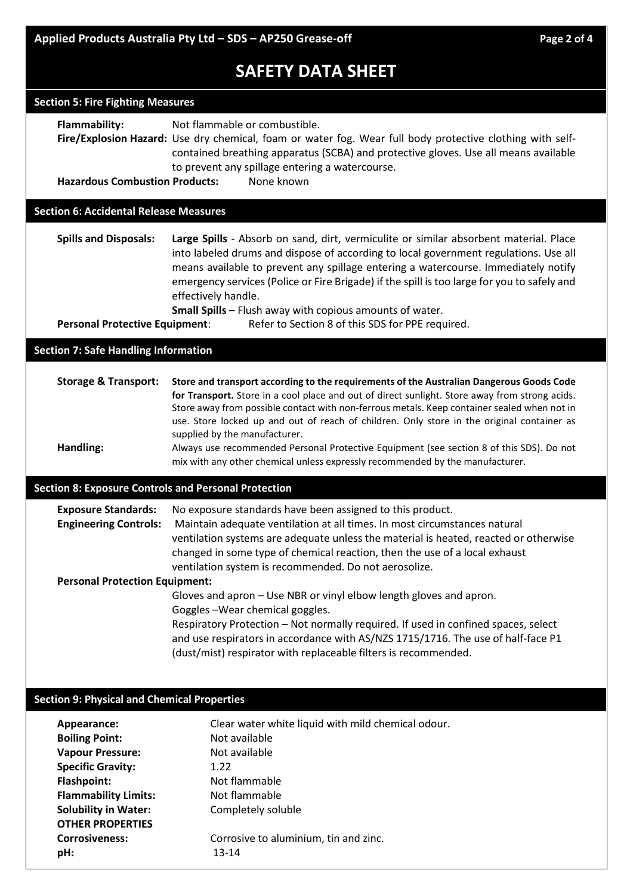| <b>Section 5: Fire Fighting Measures</b>                    |                                                                                                                                                                                                                                                                                                                                                                                                                                                              |
|-------------------------------------------------------------|--------------------------------------------------------------------------------------------------------------------------------------------------------------------------------------------------------------------------------------------------------------------------------------------------------------------------------------------------------------------------------------------------------------------------------------------------------------|
| Flammability:                                               | Not flammable or combustible.<br>Fire/Explosion Hazard: Use dry chemical, foam or water fog. Wear full body protective clothing with self-<br>contained breathing apparatus (SCBA) and protective gloves. Use all means available<br>to prevent any spillage entering a watercourse.                                                                                                                                                                         |
| <b>Hazardous Combustion Products:</b>                       | None known                                                                                                                                                                                                                                                                                                                                                                                                                                                   |
| <b>Section 6: Accidental Release Measures</b>               |                                                                                                                                                                                                                                                                                                                                                                                                                                                              |
|                                                             |                                                                                                                                                                                                                                                                                                                                                                                                                                                              |
| <b>Spills and Disposals:</b>                                | Large Spills - Absorb on sand, dirt, vermiculite or similar absorbent material. Place<br>into labeled drums and dispose of according to local government regulations. Use all<br>means available to prevent any spillage entering a watercourse. Immediately notify<br>emergency services (Police or Fire Brigade) if the spill is too large for you to safely and<br>effectively handle.<br><b>Small Spills</b> - Flush away with copious amounts of water. |
| <b>Personal Protective Equipment:</b>                       | Refer to Section 8 of this SDS for PPE required.                                                                                                                                                                                                                                                                                                                                                                                                             |
| <b>Section 7: Safe Handling Information</b>                 |                                                                                                                                                                                                                                                                                                                                                                                                                                                              |
|                                                             |                                                                                                                                                                                                                                                                                                                                                                                                                                                              |
| <b>Storage &amp; Transport:</b>                             | Store and transport according to the requirements of the Australian Dangerous Goods Code<br>for Transport. Store in a cool place and out of direct sunlight. Store away from strong acids.<br>Store away from possible contact with non-ferrous metals. Keep container sealed when not in<br>use. Store locked up and out of reach of children. Only store in the original container as<br>supplied by the manufacturer.                                     |
| Handling:                                                   | Always use recommended Personal Protective Equipment (see section 8 of this SDS). Do not<br>mix with any other chemical unless expressly recommended by the manufacturer.                                                                                                                                                                                                                                                                                    |
| <b>Section 8: Exposure Controls and Personal Protection</b> |                                                                                                                                                                                                                                                                                                                                                                                                                                                              |
| <b>Exposure Standards:</b>                                  | No exposure standards have been assigned to this product.                                                                                                                                                                                                                                                                                                                                                                                                    |
| <b>Engineering Controls:</b>                                | Maintain adequate ventilation at all times. In most circumstances natural<br>ventilation systems are adequate unless the material is heated, reacted or otherwise<br>changed in some type of chemical reaction, then the use of a local exhaust                                                                                                                                                                                                              |
|                                                             | ventilation system is recommended. Do not aerosolize.                                                                                                                                                                                                                                                                                                                                                                                                        |
| <b>Personal Protection Equipment:</b>                       | Gloves and apron - Use NBR or vinyl elbow length gloves and apron.                                                                                                                                                                                                                                                                                                                                                                                           |
|                                                             | Goggles-Wear chemical goggles.                                                                                                                                                                                                                                                                                                                                                                                                                               |
|                                                             | Respiratory Protection - Not normally required. If used in confined spaces, select<br>and use respirators in accordance with AS/NZS 1715/1716. The use of half-face P1<br>(dust/mist) respirator with replaceable filters is recommended.                                                                                                                                                                                                                    |
|                                                             |                                                                                                                                                                                                                                                                                                                                                                                                                                                              |
|                                                             |                                                                                                                                                                                                                                                                                                                                                                                                                                                              |
| <b>Section 9: Physical and Chemical Properties</b>          |                                                                                                                                                                                                                                                                                                                                                                                                                                                              |
| Appearance:                                                 | Clear water white liquid with mild chemical odour.                                                                                                                                                                                                                                                                                                                                                                                                           |
| <b>Boiling Point:</b>                                       | Not available                                                                                                                                                                                                                                                                                                                                                                                                                                                |
| <b>Vapour Pressure:</b>                                     | Not available                                                                                                                                                                                                                                                                                                                                                                                                                                                |
| <b>Specific Gravity:</b>                                    | 1.22                                                                                                                                                                                                                                                                                                                                                                                                                                                         |
| <b>Flashpoint:</b><br><b>Flammability Limits:</b>           | Not flammable<br>Not flammable                                                                                                                                                                                                                                                                                                                                                                                                                               |
| <b>Solubility in Water:</b>                                 | Completely soluble                                                                                                                                                                                                                                                                                                                                                                                                                                           |
| <b>OTHER PROPERTIES</b>                                     |                                                                                                                                                                                                                                                                                                                                                                                                                                                              |
| <b>Corrosiveness:</b>                                       | Corrosive to aluminium, tin and zinc.                                                                                                                                                                                                                                                                                                                                                                                                                        |
| pH:                                                         | $13 - 14$                                                                                                                                                                                                                                                                                                                                                                                                                                                    |
|                                                             |                                                                                                                                                                                                                                                                                                                                                                                                                                                              |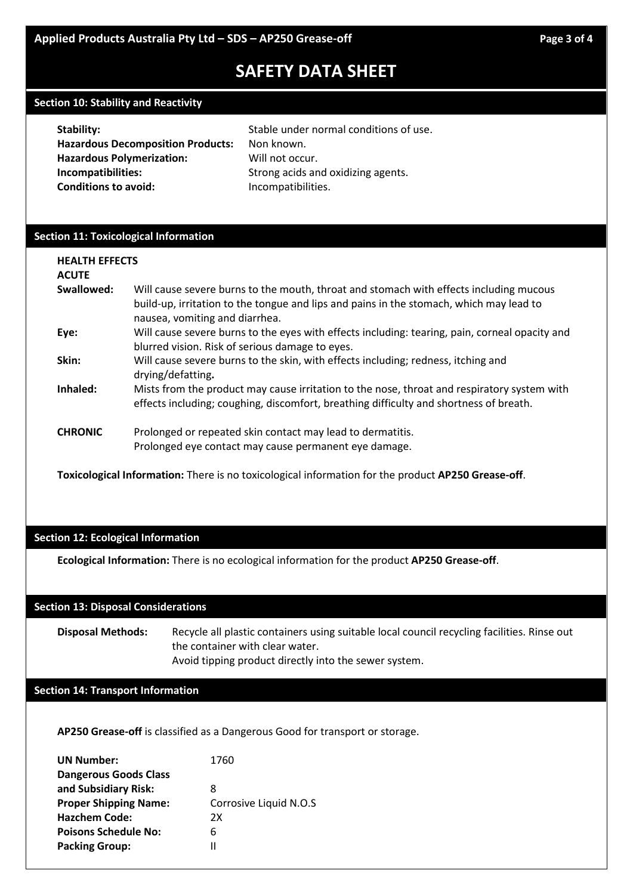#### **Section 10: Stability and Reactivity**

| Stability:                               | Stable under normal conditions of use. |
|------------------------------------------|----------------------------------------|
| <b>Hazardous Decomposition Products:</b> | Non known.                             |
| <b>Hazardous Polymerization:</b>         | Will not occur.                        |
| Incompatibilities:                       | Strong acids and oxidizing agents.     |
| <b>Conditions to avoid:</b>              | Incompatibilities.                     |

#### **Section 11: Toxicological Information**

| <b>HEALTH EFFECTS</b><br><b>ACUTE</b> |                                                                                                                                                                                                                     |
|---------------------------------------|---------------------------------------------------------------------------------------------------------------------------------------------------------------------------------------------------------------------|
| Swallowed:                            | Will cause severe burns to the mouth, throat and stomach with effects including mucous<br>build-up, irritation to the tongue and lips and pains in the stomach, which may lead to<br>nausea, vomiting and diarrhea. |
| Eye:                                  | Will cause severe burns to the eyes with effects including: tearing, pain, corneal opacity and<br>blurred vision. Risk of serious damage to eyes.                                                                   |
| Skin:                                 | Will cause severe burns to the skin, with effects including; redness, itching and<br>drying/defatting.                                                                                                              |
| Inhaled:                              | Mists from the product may cause irritation to the nose, throat and respiratory system with<br>effects including; coughing, discomfort, breathing difficulty and shortness of breath.                               |
| <b>CHRONIC</b>                        | Prolonged or repeated skin contact may lead to dermatitis.<br>Prolonged eye contact may cause permanent eye damage.                                                                                                 |

**Toxicological Information:** There is no toxicological information for the product **AP250 Grease-off**.

#### **Section 12: Ecological Information**

**Ecological Information:** There is no ecological information for the product **AP250 Grease-off**.

#### **Section 13: Disposal Considerations**

**Disposal Methods:** Recycle all plastic containers using suitable local council recycling facilities. Rinse out the container with clear water. Avoid tipping product directly into the sewer system.

#### **Section 14: Transport Information**

**AP250 Grease-off** is classified as a Dangerous Good for transport or storage.

| <b>UN Number:</b>            | 1760                   |
|------------------------------|------------------------|
| <b>Dangerous Goods Class</b> |                        |
| and Subsidiary Risk:         | 8                      |
| <b>Proper Shipping Name:</b> | Corrosive Liquid N.O.S |
| <b>Hazchem Code:</b>         | 2X                     |
| <b>Poisons Schedule No:</b>  | 6                      |
| <b>Packing Group:</b>        | н                      |
|                              |                        |